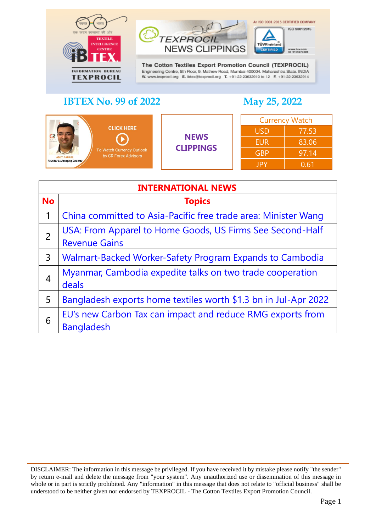



TÜVRheir

CERTIFIED

An ISO 9001:2015 CERTIFIED COMPANY

ISO 9001:2015

www.buv.com<br>ID 9105079408

| <b>CLICK HERE</b><br>$-111$<br><b>NAME RESIDEN</b><br>To Watch Currency Outlook<br>by CR Forex Advisors<br><b>AMIT PABARI</b><br><b>Founder &amp; Managing Director</b> | <b>NEWS</b><br><b>CLIPPINGS</b> | <b>Currency Watch</b> |       |
|-------------------------------------------------------------------------------------------------------------------------------------------------------------------------|---------------------------------|-----------------------|-------|
|                                                                                                                                                                         |                                 | <b>USD</b>            | 77.53 |
|                                                                                                                                                                         |                                 | <b>EUR</b>            | 83.06 |
|                                                                                                                                                                         |                                 | <b>GBP</b>            | 97.14 |
|                                                                                                                                                                         |                                 | <b>JPY</b>            | 0.61  |

<span id="page-0-0"></span>

| <b>INTERNATIONAL NEWS</b> |                                                                                   |  |
|---------------------------|-----------------------------------------------------------------------------------|--|
| <b>No</b>                 | <b>Topics</b>                                                                     |  |
| 1                         | China committed to Asia-Pacific free trade area: Minister Wang                    |  |
| $\overline{2}$            | USA: From Apparel to Home Goods, US Firms See Second-Half<br><b>Revenue Gains</b> |  |
| 3                         | Walmart-Backed Worker-Safety Program Expands to Cambodia                          |  |
| 4                         | Myanmar, Cambodia expedite talks on two trade cooperation<br>deals                |  |
| 5                         | Bangladesh exports home textiles worth \$1.3 bn in Jul-Apr 2022                   |  |
| 6                         | EU's new Carbon Tax can impact and reduce RMG exports from<br><b>Bangladesh</b>   |  |

DISCLAIMER: The information in this message be privileged. If you have received it by mistake please notify "the sender" by return e-mail and delete the message from "your system". Any unauthorized use or dissemination of this message in whole or in part is strictly prohibited. Any "information" in this message that does not relate to "official business" shall be understood to be neither given nor endorsed by TEXPROCIL - The Cotton Textiles Export Promotion Council.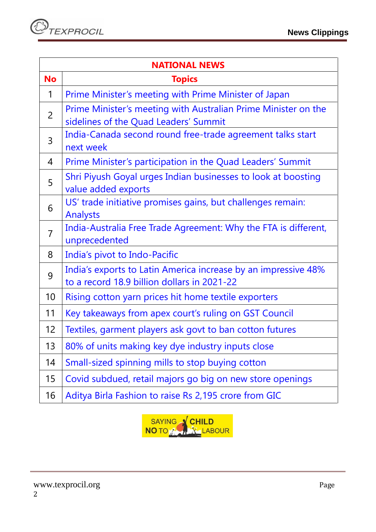| <b>NATIONAL NEWS</b> |                                                                                                               |  |
|----------------------|---------------------------------------------------------------------------------------------------------------|--|
| <b>No</b>            | <b>Topics</b>                                                                                                 |  |
| 1                    | Prime Minister's meeting with Prime Minister of Japan                                                         |  |
| 2                    | Prime Minister's meeting with Australian Prime Minister on the<br>sidelines of the Quad Leaders' Summit       |  |
| 3                    | India-Canada second round free-trade agreement talks start<br>next week                                       |  |
| 4                    | Prime Minister's participation in the Quad Leaders' Summit                                                    |  |
| 5                    | Shri Piyush Goyal urges Indian businesses to look at boosting<br>value added exports                          |  |
| 6                    | US' trade initiative promises gains, but challenges remain:<br><b>Analysts</b>                                |  |
| $\overline{7}$       | India-Australia Free Trade Agreement: Why the FTA is different,<br>unprecedented                              |  |
| 8                    | India's pivot to Indo-Pacific                                                                                 |  |
| 9                    | India's exports to Latin America increase by an impressive 48%<br>to a record 18.9 billion dollars in 2021-22 |  |
| 10                   | Rising cotton yarn prices hit home textile exporters                                                          |  |
| 11                   | Key takeaways from apex court's ruling on GST Council                                                         |  |
| 12                   | Textiles, garment players ask govt to ban cotton futures                                                      |  |
| 13                   | 80% of units making key dye industry inputs close                                                             |  |
| 14                   | Small-sized spinning mills to stop buying cotton                                                              |  |
| 15                   | Covid subdued, retail majors go big on new store openings                                                     |  |
| 16                   | Aditya Birla Fashion to raise Rs 2,195 crore from GIC                                                         |  |

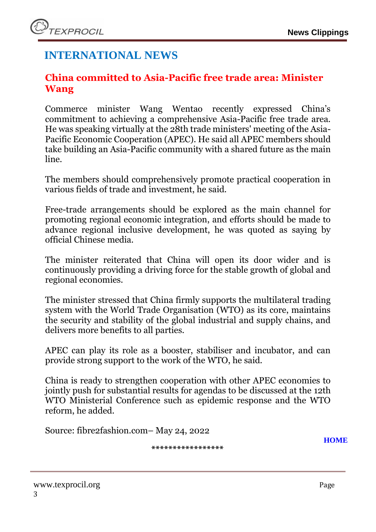# **INTERNATIONAL NEWS**

## <span id="page-2-0"></span>**China committed to Asia-Pacific free trade area: Minister Wang**

Commerce minister Wang Wentao recently expressed China's commitment to achieving a comprehensive Asia-Pacific free trade area. He was speaking virtually at the 28th trade ministers' meeting of the Asia-Pacific Economic Cooperation (APEC). He said all APEC members should take building an Asia-Pacific community with a shared future as the main line.

The members should comprehensively promote practical cooperation in various fields of trade and investment, he said.

Free-trade arrangements should be explored as the main channel for promoting regional economic integration, and efforts should be made to advance regional inclusive development, he was quoted as saying by official Chinese media.

The minister reiterated that China will open its door wider and is continuously providing a driving force for the stable growth of global and regional economies.

The minister stressed that China firmly supports the multilateral trading system with the World Trade Organisation (WTO) as its core, maintains the security and stability of the global industrial and supply chains, and delivers more benefits to all parties.

APEC can play its role as a booster, stabiliser and incubator, and can provide strong support to the work of the WTO, he said.

China is ready to strengthen cooperation with other APEC economies to jointly push for substantial results for agendas to be discussed at the 12th WTO Ministerial Conference such as epidemic response and the WTO reform, he added.

Source: fibre2fashion.com– May 24, 2022

**\*\*\*\*\*\*\*\*\*\*\*\*\*\*\*\*\***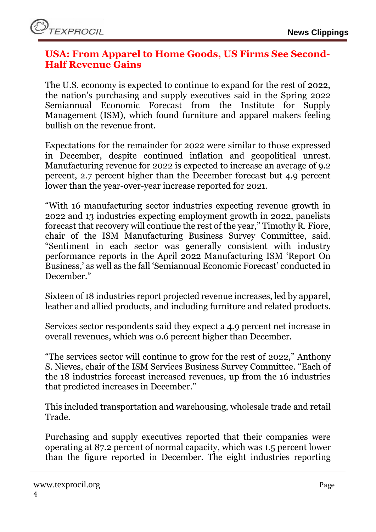#### <span id="page-3-0"></span>**USA: From Apparel to Home Goods, US Firms See Second-Half Revenue Gains**

The U.S. economy is expected to continue to expand for the rest of 2022, the nation's purchasing and supply executives said in the Spring 2022 Semiannual Economic Forecast from the Institute for Supply Management (ISM), which found furniture and apparel makers feeling bullish on the revenue front.

Expectations for the remainder for 2022 were similar to those expressed in December, despite continued inflation and geopolitical unrest. Manufacturing revenue for 2022 is expected to increase an average of 9.2 percent, 2.7 percent higher than the December forecast but 4.9 percent lower than the year-over-year increase reported for 2021.

"With 16 manufacturing sector industries expecting revenue growth in 2022 and 13 industries expecting employment growth in 2022, panelists forecast that recovery will continue the rest of the year," Timothy R. Fiore, chair of the ISM Manufacturing Business Survey Committee, said. "Sentiment in each sector was generally consistent with industry performance reports in the April 2022 Manufacturing ISM 'Report On Business,' as well as the fall 'Semiannual Economic Forecast' conducted in December."

Sixteen of 18 industries report projected revenue increases, led by apparel, leather and allied products, and including furniture and related products.

Services sector respondents said they expect a 4.9 percent net increase in overall revenues, which was 0.6 percent higher than December.

"The services sector will continue to grow for the rest of 2022," Anthony S. Nieves, chair of the ISM Services Business Survey Committee. "Each of the 18 industries forecast increased revenues, up from the 16 industries that predicted increases in December."

This included transportation and warehousing, wholesale trade and retail Trade.

Purchasing and supply executives reported that their companies were operating at 87.2 percent of normal capacity, which was 1.5 percent lower than the figure reported in December. The eight industries reporting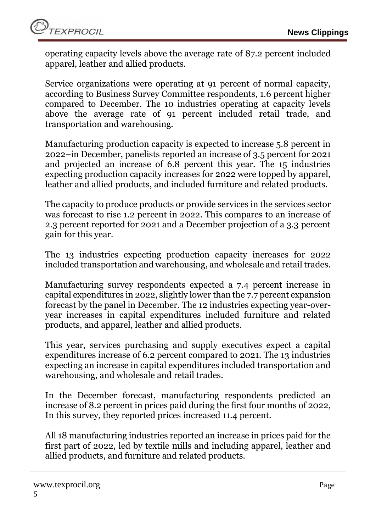operating capacity levels above the average rate of 87.2 percent included apparel, leather and allied products.

Service organizations were operating at 91 percent of normal capacity, according to Business Survey Committee respondents, 1.6 percent higher compared to December. The 10 industries operating at capacity levels above the average rate of 91 percent included retail trade, and transportation and warehousing.

Manufacturing production capacity is expected to increase 5.8 percent in 2022–in December, panelists reported an increase of 3.5 percent for 2021 and projected an increase of 6.8 percent this year. The 15 industries expecting production capacity increases for 2022 were topped by apparel, leather and allied products, and included furniture and related products.

The capacity to produce products or provide services in the services sector was forecast to rise 1.2 percent in 2022. This compares to an increase of 2.3 percent reported for 2021 and a December projection of a 3.3 percent gain for this year.

The 13 industries expecting production capacity increases for 2022 included transportation and warehousing, and wholesale and retail trades.

Manufacturing survey respondents expected a 7.4 percent increase in capital expenditures in 2022, slightly lower than the 7.7 percent expansion forecast by the panel in December. The 12 industries expecting year-overyear increases in capital expenditures included furniture and related products, and apparel, leather and allied products.

This year, services purchasing and supply executives expect a capital expenditures increase of 6.2 percent compared to 2021. The 13 industries expecting an increase in capital expenditures included transportation and warehousing, and wholesale and retail trades.

In the December forecast, manufacturing respondents predicted an increase of 8.2 percent in prices paid during the first four months of 2022, In this survey, they reported prices increased 11.4 percent.

All 18 manufacturing industries reported an increase in prices paid for the first part of 2022, led by textile mills and including apparel, leather and allied products, and furniture and related products.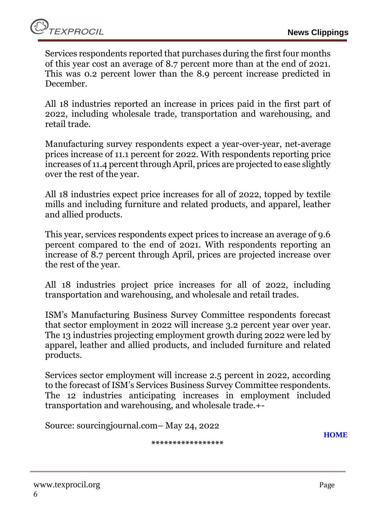Services respondents reported that purchases during the first four months of this year cost an average of 8.7 percent more than at the end of 2021. This was 0.2 percent lower than the 8.9 percent increase predicted in December.

All 18 industries reported an increase in prices paid in the first part of 2022, including wholesale trade, transportation and warehousing, and retail trade.

Manufacturing survey respondents expect a year-over-year, net-average prices increase of 11.1 percent for 2022. With respondents reporting price increases of 11.4 percent through April, prices are projected to ease slightly over the rest of the year.

All 18 industries expect price increases for all of 2022, topped by textile mills and including furniture and related products, and apparel, leather and allied products.

This year, services respondents expect prices to increase an average of 9.6 percent compared to the end of 2021. With respondents reporting an increase of 8.7 percent through April, prices are projected increase over the rest of the year.

All 18 industries project price increases for all of 2022, including transportation and warehousing, and wholesale and retail trades.

ISM's Manufacturing Business Survey Committee respondents forecast that sector employment in 2022 will increase 3.2 percent year over year. The 13 industries projecting employment growth during 2022 were led by apparel, leather and allied products, and included furniture and related products.

Services sector employment will increase 2.5 percent in 2022, according to the forecast of ISM's Services Business Survey Committee respondents. The 12 industries anticipating increases in employment included transportation and warehousing, and wholesale trade.+-

Source: sourcingjournal.com– May 24, 2022

**[HOME](#page-0-0)**

**\*\*\*\*\*\*\*\*\*\*\*\*\*\*\*\*\***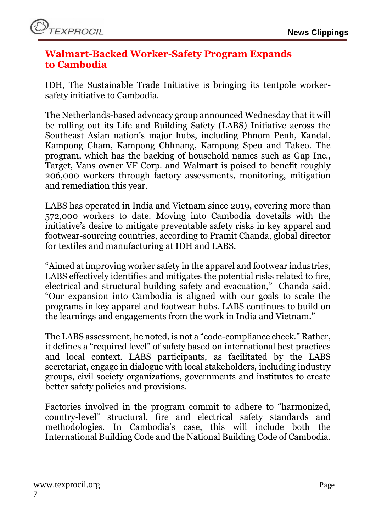#### <span id="page-6-0"></span>**Walmart-Backed Worker-Safety Program Expands to Cambodia**

IDH, The Sustainable Trade Initiative is bringing its tentpole workersafety initiative to Cambodia.

The Netherlands-based advocacy group announced Wednesday that it will be rolling out its Life and Building Safety (LABS) Initiative across the Southeast Asian nation's major hubs, including Phnom Penh, Kandal, Kampong Cham, Kampong Chhnang, Kampong Speu and Takeo. The program, which has the backing of household names such as Gap Inc., Target, Vans owner VF Corp. and Walmart is poised to benefit roughly 206,000 workers through factory assessments, monitoring, mitigation and remediation this year.

LABS has operated in India and Vietnam since 2019, covering more than 572,000 workers to date. Moving into Cambodia dovetails with the initiative's desire to mitigate preventable safety risks in key apparel and footwear-sourcing countries, according to Pramit Chanda, global director for textiles and manufacturing at IDH and LABS.

"Aimed at improving worker safety in the apparel and footwear industries, LABS effectively identifies and mitigates the potential risks related to fire, electrical and structural building safety and evacuation," Chanda said. "Our expansion into Cambodia is aligned with our goals to scale the programs in key apparel and footwear hubs. LABS continues to build on the learnings and engagements from the work in India and Vietnam."

The LABS assessment, he noted, is not a "code-compliance check." Rather, it defines a "required level" of safety based on international best practices and local context. LABS participants, as facilitated by the LABS secretariat, engage in dialogue with local stakeholders, including industry groups, civil society organizations, governments and institutes to create better safety policies and provisions.

Factories involved in the program commit to adhere to "harmonized, country-level" structural, fire and electrical safety standards and methodologies. In Cambodia's case, this will include both the International Building Code and the National Building Code of Cambodia.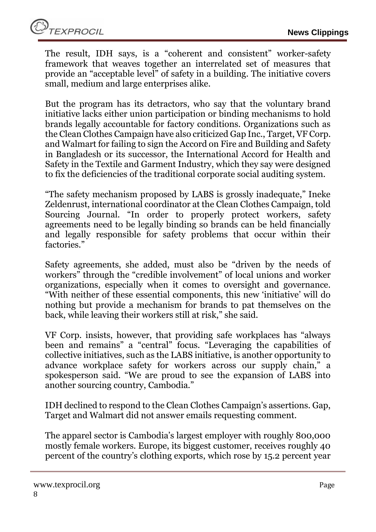The result, IDH says, is a "coherent and consistent" worker-safety framework that weaves together an interrelated set of measures that provide an "acceptable level" of safety in a building. The initiative covers small, medium and large enterprises alike.

But the program has its detractors, who say that the voluntary brand initiative lacks either union participation or binding mechanisms to hold brands legally accountable for factory conditions. Organizations such as the Clean Clothes Campaign have also criticized Gap Inc., Target, VF Corp. and Walmart for failing to sign the Accord on Fire and Building and Safety in Bangladesh or its successor, the International Accord for Health and Safety in the Textile and Garment Industry, which they say were designed to fix the deficiencies of the traditional corporate social auditing system.

"The safety mechanism proposed by LABS is grossly inadequate," Ineke Zeldenrust, international coordinator at the Clean Clothes Campaign, told Sourcing Journal. "In order to properly protect workers, safety agreements need to be legally binding so brands can be held financially and legally responsible for safety problems that occur within their factories."

Safety agreements, she added, must also be "driven by the needs of workers" through the "credible involvement" of local unions and worker organizations, especially when it comes to oversight and governance. "With neither of these essential components, this new 'initiative' will do nothing but provide a mechanism for brands to pat themselves on the back, while leaving their workers still at risk," she said.

VF Corp. insists, however, that providing safe workplaces has "always been and remains" a "central" focus. "Leveraging the capabilities of collective initiatives, such as the LABS initiative, is another opportunity to advance workplace safety for workers across our supply chain," a spokesperson said. "We are proud to see the expansion of LABS into another sourcing country, Cambodia."

IDH declined to respond to the Clean Clothes Campaign's assertions. Gap, Target and Walmart did not answer emails requesting comment.

The apparel sector is Cambodia's largest employer with roughly 800,000 mostly female workers. Europe, its biggest customer, receives roughly 40 percent of the country's clothing exports, which rose by 15.2 percent year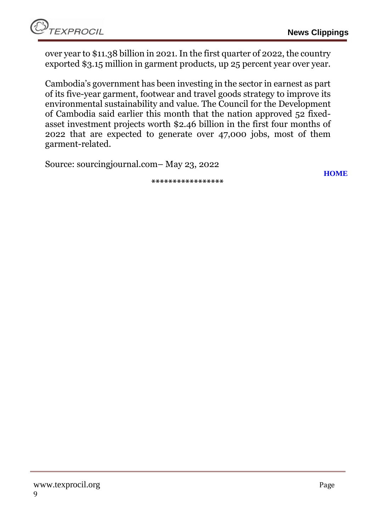**[HOME](#page-0-0)**

over year to \$11.38 billion in 2021. In the first quarter of 2022, the country exported \$3.15 million in garment products, up 25 percent year over year.

Cambodia's government has been investing in the sector in earnest as part of its five-year garment, footwear and travel goods strategy to improve its environmental sustainability and value. The Council for the Development of Cambodia said earlier this month that the nation approved 52 fixedasset investment projects worth \$2.46 billion in the first four months of 2022 that are expected to generate over 47,000 jobs, most of them garment-related.

Source: sourcingjournal.com– May 23, 2022

**\*\*\*\*\*\*\*\*\*\*\*\*\*\*\*\*\***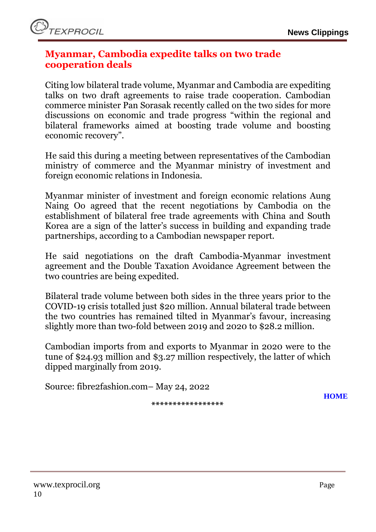#### <span id="page-9-0"></span>**Myanmar, Cambodia expedite talks on two trade cooperation deals**

Citing low bilateral trade volume, Myanmar and Cambodia are expediting talks on two draft agreements to raise trade cooperation. Cambodian commerce minister Pan Sorasak recently called on the two sides for more discussions on economic and trade progress "within the regional and bilateral frameworks aimed at boosting trade volume and boosting economic recovery".

He said this during a meeting between representatives of the Cambodian ministry of commerce and the Myanmar ministry of investment and foreign economic relations in Indonesia.

Myanmar minister of investment and foreign economic relations Aung Naing Oo agreed that the recent negotiations by Cambodia on the establishment of bilateral free trade agreements with China and South Korea are a sign of the latter's success in building and expanding trade partnerships, according to a Cambodian newspaper report.

He said negotiations on the draft Cambodia-Myanmar investment agreement and the Double Taxation Avoidance Agreement between the two countries are being expedited.

Bilateral trade volume between both sides in the three years prior to the COVID-19 crisis totalled just \$20 million. Annual bilateral trade between the two countries has remained tilted in Myanmar's favour, increasing slightly more than two-fold between 2019 and 2020 to \$28.2 million.

Cambodian imports from and exports to Myanmar in 2020 were to the tune of \$24.93 million and \$3.27 million respectively, the latter of which dipped marginally from 2019.

Source: fibre2fashion.com– May 24, 2022

**\*\*\*\*\*\*\*\*\*\*\*\*\*\*\*\*\***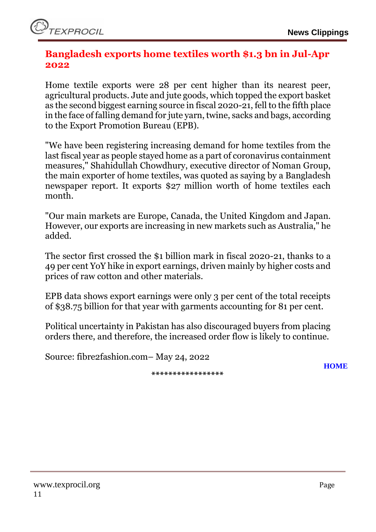#### <span id="page-10-0"></span>**Bangladesh exports home textiles worth \$1.3 bn in Jul-Apr 2022**

Home textile exports were 28 per cent higher than its nearest peer, agricultural products. Jute and jute goods, which topped the export basket as the second biggest earning source in fiscal 2020-21, fell to the fifth place in the face of falling demand for jute yarn, twine, sacks and bags, according to the Export Promotion Bureau (EPB).

"We have been registering increasing demand for home textiles from the last fiscal year as people stayed home as a part of coronavirus containment measures," Shahidullah Chowdhury, executive director of Noman Group, the main exporter of home textiles, was quoted as saying by a Bangladesh newspaper report. It exports \$27 million worth of home textiles each month.

"Our main markets are Europe, Canada, the United Kingdom and Japan. However, our exports are increasing in new markets such as Australia," he added.

The sector first crossed the \$1 billion mark in fiscal 2020-21, thanks to a 49 per cent YoY hike in export earnings, driven mainly by higher costs and prices of raw cotton and other materials.

EPB data shows export earnings were only 3 per cent of the total receipts of \$38.75 billion for that year with garments accounting for 81 per cent.

Political uncertainty in Pakistan has also discouraged buyers from placing orders there, and therefore, the increased order flow is likely to continue.

Source: fibre2fashion.com– May 24, 2022

**\*\*\*\*\*\*\*\*\*\*\*\*\*\*\*\*\***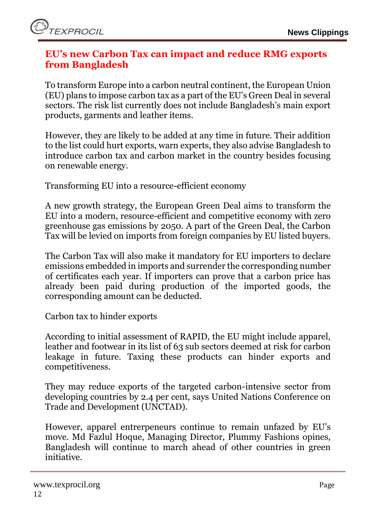## <span id="page-11-0"></span>**EU's new Carbon Tax can impact and reduce RMG exports from Bangladesh**

To transform Europe into a carbon neutral continent, the European Union (EU) plans to impose carbon tax as a part of the EU's Green Deal in several sectors. The risk list currently does not include Bangladesh's main export products, garments and leather items.

However, they are likely to be added at any time in future. Their addition to the list could hurt exports, warn experts, they also advise Bangladesh to introduce carbon tax and carbon market in the country besides focusing on renewable energy.

Transforming EU into a resource-efficient economy

A new growth strategy, the European Green Deal aims to transform the EU into a modern, resource-efficient and competitive economy with zero greenhouse gas emissions by 2050. A part of the Green Deal, the Carbon Tax will be levied on imports from foreign companies by EU listed buyers.

The Carbon Tax will also make it mandatory for EU importers to declare emissions embedded in imports and surrender the corresponding number of certificates each year. If importers can prove that a carbon price has already been paid during production of the imported goods, the corresponding amount can be deducted.

Carbon tax to hinder exports

According to initial assessment of RAPID, the EU might include apparel, leather and footwear in its list of 63 sub sectors deemed at risk for carbon leakage in future. Taxing these products can hinder exports and competitiveness.

They may reduce exports of the targeted carbon-intensive sector from developing countries by 2.4 per cent, says United Nations Conference on Trade and Development (UNCTAD).

However, apparel entrerpeneurs continue to remain unfazed by EU's move. Md Fazlul Hoque, Managing Director, Plummy Fashions opines, Bangladesh will continue to march ahead of other countries in green initiative.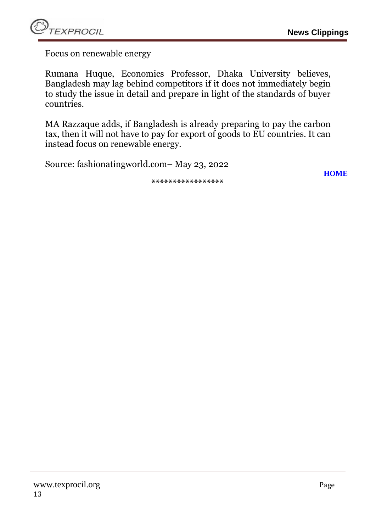Focus on renewable energy

Rumana Huque, Economics Professor, Dhaka University believes, Bangladesh may lag behind competitors if it does not immediately begin to study the issue in detail and prepare in light of the standards of buyer countries.

MA Razzaque adds, if Bangladesh is already preparing to pay the carbon tax, then it will not have to pay for export of goods to EU countries. It can instead focus on renewable energy.

**\*\*\*\*\*\*\*\*\*\*\*\*\*\*\*\*\***

Source: fashionatingworld.com– May 23, 2022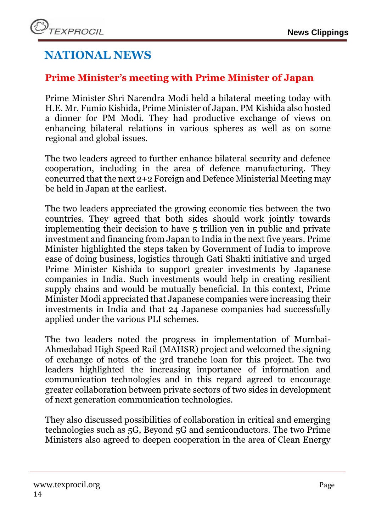# **NATIONAL NEWS**

## <span id="page-13-0"></span>**Prime Minister's meeting with Prime Minister of Japan**

Prime Minister Shri Narendra Modi held a bilateral meeting today with H.E. Mr. Fumio Kishida, Prime Minister of Japan. PM Kishida also hosted a dinner for PM Modi. They had productive exchange of views on enhancing bilateral relations in various spheres as well as on some regional and global issues.

The two leaders agreed to further enhance bilateral security and defence cooperation, including in the area of defence manufacturing. They concurred that the next 2+2 Foreign and Defence Ministerial Meeting may be held in Japan at the earliest.

The two leaders appreciated the growing economic ties between the two countries. They agreed that both sides should work jointly towards implementing their decision to have 5 trillion yen in public and private investment and financing from Japan to India in the next five years. Prime Minister highlighted the steps taken by Government of India to improve ease of doing business, logistics through Gati Shakti initiative and urged Prime Minister Kishida to support greater investments by Japanese companies in India. Such investments would help in creating resilient supply chains and would be mutually beneficial. In this context, Prime Minister Modi appreciated that Japanese companies were increasing their investments in India and that 24 Japanese companies had successfully applied under the various PLI schemes.

The two leaders noted the progress in implementation of Mumbai-Ahmedabad High Speed Rail (MAHSR) project and welcomed the signing of exchange of notes of the 3rd tranche loan for this project. The two leaders highlighted the increasing importance of information and communication technologies and in this regard agreed to encourage greater collaboration between private sectors of two sides in development of next generation communication technologies.

They also discussed possibilities of collaboration in critical and emerging technologies such as 5G, Beyond 5G and semiconductors. The two Prime Ministers also agreed to deepen cooperation in the area of Clean Energy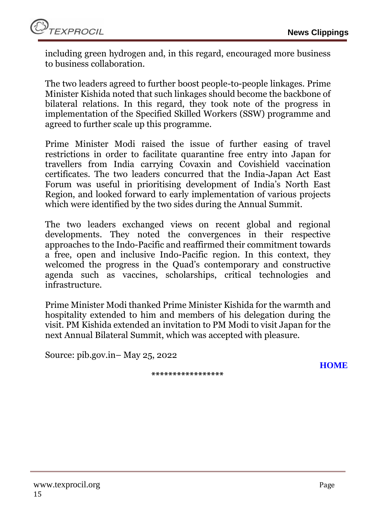including green hydrogen and, in this regard, encouraged more business to business collaboration.

The two leaders agreed to further boost people-to-people linkages. Prime Minister Kishida noted that such linkages should become the backbone of bilateral relations. In this regard, they took note of the progress in implementation of the Specified Skilled Workers (SSW) programme and agreed to further scale up this programme.

Prime Minister Modi raised the issue of further easing of travel restrictions in order to facilitate quarantine free entry into Japan for travellers from India carrying Covaxin and Covishield vaccination certificates. The two leaders concurred that the India-Japan Act East Forum was useful in prioritising development of India's North East Region, and looked forward to early implementation of various projects which were identified by the two sides during the Annual Summit.

The two leaders exchanged views on recent global and regional developments. They noted the convergences in their respective approaches to the Indo-Pacific and reaffirmed their commitment towards a free, open and inclusive Indo-Pacific region. In this context, they welcomed the progress in the Quad's contemporary and constructive agenda such as vaccines, scholarships, critical technologies and infrastructure.

Prime Minister Modi thanked Prime Minister Kishida for the warmth and hospitality extended to him and members of his delegation during the visit. PM Kishida extended an invitation to PM Modi to visit Japan for the next Annual Bilateral Summit, which was accepted with pleasure.

Source: pib.gov.in– May 25, 2022

**\*\*\*\*\*\*\*\*\*\*\*\*\*\*\*\*\***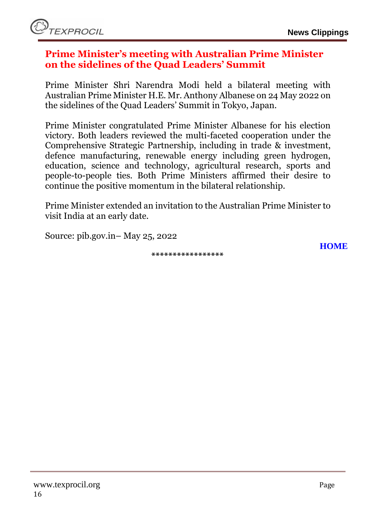#### <span id="page-15-0"></span>**Prime Minister's meeting with Australian Prime Minister on the sidelines of the Quad Leaders' Summit**

Prime Minister Shri Narendra Modi held a bilateral meeting with Australian Prime Minister H.E. Mr. Anthony Albanese on 24 May 2022 on the sidelines of the Quad Leaders' Summit in Tokyo, Japan.

Prime Minister congratulated Prime Minister Albanese for his election victory. Both leaders reviewed the multi-faceted cooperation under the Comprehensive Strategic Partnership, including in trade & investment, defence manufacturing, renewable energy including green hydrogen, education, science and technology, agricultural research, sports and people-to-people ties. Both Prime Ministers affirmed their desire to continue the positive momentum in the bilateral relationship.

Prime Minister extended an invitation to the Australian Prime Minister to visit India at an early date.

Source: pib.gov.in– May 25, 2022

**\*\*\*\*\*\*\*\*\*\*\*\*\*\*\*\*\***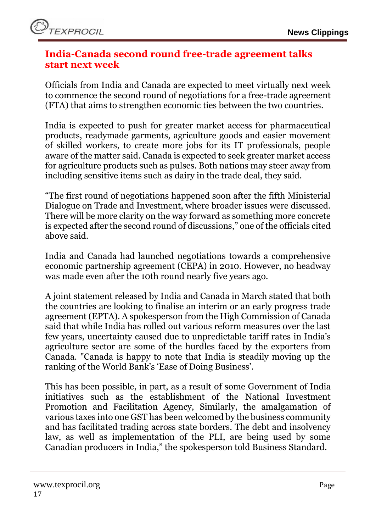

#### <span id="page-16-0"></span>**India-Canada second round free-trade agreement talks start next week**

Officials from India and Canada are expected to meet virtually next week to commence the second round of negotiations for a free-trade agreement (FTA) that aims to strengthen economic ties between the two countries.

India is expected to push for greater market access for pharmaceutical products, readymade garments, agriculture goods and easier movement of skilled workers, to create more jobs for its IT professionals, people aware of the matter said. Canada is expected to seek greater market access for agriculture products such as pulses. Both nations may steer away from including sensitive items such as dairy in the trade deal, they said.

"The first round of negotiations happened soon after the fifth Ministerial Dialogue on Trade and Investment, where broader issues were discussed. There will be more clarity on the way forward as something more concrete is expected after the second round of discussions," one of the officials cited above said.

India and Canada had launched negotiations towards a comprehensive economic partnership agreement (CEPA) in 2010. However, no headway was made even after the 10th round nearly five years ago.

A joint statement released by India and Canada in March stated that both the countries are looking to finalise an interim or an early progress trade agreement (EPTA). A spokesperson from the High Commission of Canada said that while India has rolled out various reform measures over the last few years, uncertainty caused due to unpredictable tariff rates in India's agriculture sector are some of the hurdles faced by the exporters from Canada. "Canada is happy to note that India is steadily moving up the ranking of the World Bank's 'Ease of Doing Business'.

This has been possible, in part, as a result of some Government of India initiatives such as the establishment of the National Investment Promotion and Facilitation Agency, Similarly, the amalgamation of various taxes into one GST has been welcomed by the business community and has facilitated trading across state borders. The debt and insolvency law, as well as implementation of the PLI, are being used by some Canadian producers in India," the spokesperson told Business Standard.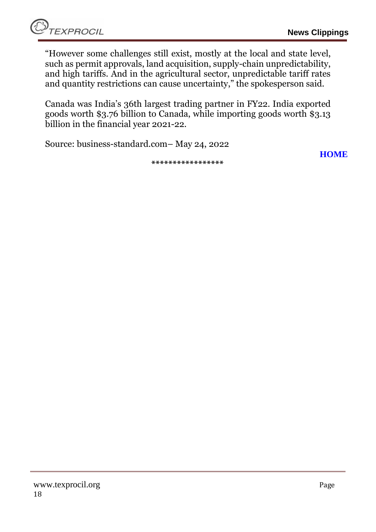"However some challenges still exist, mostly at the local and state level, such as permit approvals, land acquisition, supply-chain unpredictability, and high tariffs. And in the agricultural sector, unpredictable tariff rates and quantity restrictions can cause uncertainty," the spokesperson said.

Canada was India's 36th largest trading partner in FY22. India exported goods worth \$3.76 billion to Canada, while importing goods worth \$3.13 billion in the financial year 2021-22.

Source: business-standard.com– May 24, 2022

**[HOME](#page-0-0)**

**\*\*\*\*\*\*\*\*\*\*\*\*\*\*\*\*\***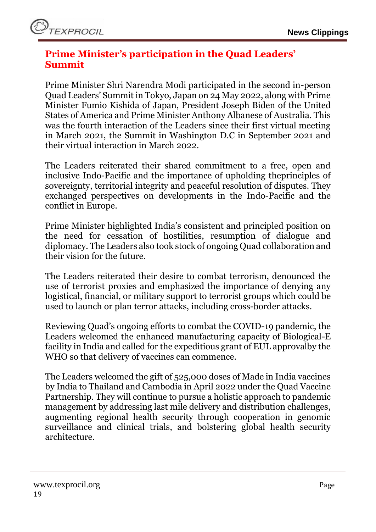## <span id="page-18-0"></span>**Prime Minister's participation in the Quad Leaders' Summit**

Prime Minister Shri Narendra Modi participated in the second in-person Quad Leaders' Summit in Tokyo, Japan on 24 May 2022, along with Prime Minister Fumio Kishida of Japan, President Joseph Biden of the United States of America and Prime Minister Anthony Albanese of Australia. This was the fourth interaction of the Leaders since their first virtual meeting in March 2021, the Summit in Washington D.C in September 2021 and their virtual interaction in March 2022.

The Leaders reiterated their shared commitment to a free, open and inclusive Indo-Pacific and the importance of upholding theprinciples of sovereignty, territorial integrity and peaceful resolution of disputes. They exchanged perspectives on developments in the Indo-Pacific and the conflict in Europe.

Prime Minister highlighted India's consistent and principled position on the need for cessation of hostilities, resumption of dialogue and diplomacy. The Leaders also took stock of ongoing Quad collaboration and their vision for the future.

The Leaders reiterated their desire to combat terrorism, denounced the use of terrorist proxies and emphasized the importance of denying any logistical, financial, or military support to terrorist groups which could be used to launch or plan terror attacks, including cross-border attacks.

Reviewing Quad's ongoing efforts to combat the COVID-19 pandemic, the Leaders welcomed the enhanced manufacturing capacity of Biological-E facility in India and called for the expeditious grant of EUL approvalby the WHO so that delivery of vaccines can commence.

The Leaders welcomed the gift of 525,000 doses of Made in India vaccines by India to Thailand and Cambodia in April 2022 under the Quad Vaccine Partnership. They will continue to pursue a holistic approach to pandemic management by addressing last mile delivery and distribution challenges, augmenting regional health security through cooperation in genomic surveillance and clinical trials, and bolstering global health security architecture.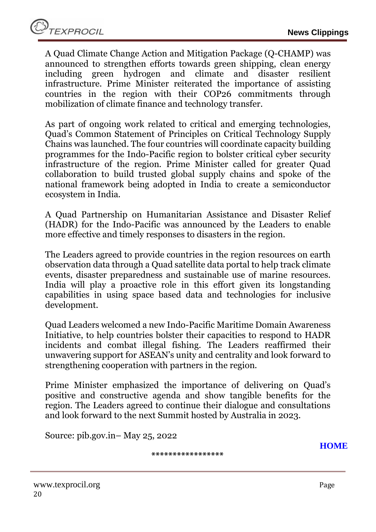A Quad Climate Change Action and Mitigation Package (Q-CHAMP) was announced to strengthen efforts towards green shipping, clean energy including green hydrogen and climate and disaster resilient infrastructure. Prime Minister reiterated the importance of assisting countries in the region with their COP26 commitments through mobilization of climate finance and technology transfer.

As part of ongoing work related to critical and emerging technologies, Quad's Common Statement of Principles on Critical Technology Supply Chains was launched. The four countries will coordinate capacity building programmes for the Indo-Pacific region to bolster critical cyber security infrastructure of the region. Prime Minister called for greater Quad collaboration to build trusted global supply chains and spoke of the national framework being adopted in India to create a semiconductor ecosystem in India.

A Quad Partnership on Humanitarian Assistance and Disaster Relief (HADR) for the Indo-Pacific was announced by the Leaders to enable more effective and timely responses to disasters in the region.

The Leaders agreed to provide countries in the region resources on earth observation data through a Quad satellite data portal to help track climate events, disaster preparedness and sustainable use of marine resources. India will play a proactive role in this effort given its longstanding capabilities in using space based data and technologies for inclusive development.

Quad Leaders welcomed a new Indo-Pacific Maritime Domain Awareness Initiative, to help countries bolster their capacities to respond to HADR incidents and combat illegal fishing. The Leaders reaffirmed their unwavering support for ASEAN's unity and centrality and look forward to strengthening cooperation with partners in the region.

Prime Minister emphasized the importance of delivering on Quad's positive and constructive agenda and show tangible benefits for the region. The Leaders agreed to continue their dialogue and consultations and look forward to the next Summit hosted by Australia in 2023.

Source: pib.gov.in– May 25, 2022

**\*\*\*\*\*\*\*\*\*\*\*\*\*\*\*\*\***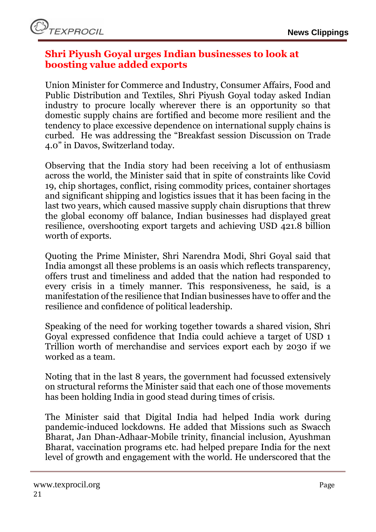#### <span id="page-20-0"></span>**Shri Piyush Goyal urges Indian businesses to look at boosting value added exports**

Union Minister for Commerce and Industry, Consumer Affairs, Food and Public Distribution and Textiles, Shri Piyush Goyal today asked Indian industry to procure locally wherever there is an opportunity so that domestic supply chains are fortified and become more resilient and the tendency to place excessive dependence on international supply chains is curbed. He was addressing the "Breakfast session Discussion on Trade 4.0" in Davos, Switzerland today.

Observing that the India story had been receiving a lot of enthusiasm across the world, the Minister said that in spite of constraints like Covid 19, chip shortages, conflict, rising commodity prices, container shortages and significant shipping and logistics issues that it has been facing in the last two years, which caused massive supply chain disruptions that threw the global economy off balance, Indian businesses had displayed great resilience, overshooting export targets and achieving USD 421.8 billion worth of exports.

Quoting the Prime Minister, Shri Narendra Modi, Shri Goyal said that India amongst all these problems is an oasis which reflects transparency, offers trust and timeliness and added that the nation had responded to every crisis in a timely manner. This responsiveness, he said, is a manifestation of the resilience that Indian businesses have to offer and the resilience and confidence of political leadership.

Speaking of the need for working together towards a shared vision, Shri Goyal expressed confidence that India could achieve a target of USD 1 Trillion worth of merchandise and services export each by 2030 if we worked as a team.

Noting that in the last 8 years, the government had focussed extensively on structural reforms the Minister said that each one of those movements has been holding India in good stead during times of crisis.

The Minister said that Digital India had helped India work during pandemic-induced lockdowns. He added that Missions such as Swacch Bharat, Jan Dhan-Adhaar-Mobile trinity, financial inclusion, Ayushman Bharat, vaccination programs etc. had helped prepare India for the next level of growth and engagement with the world. He underscored that the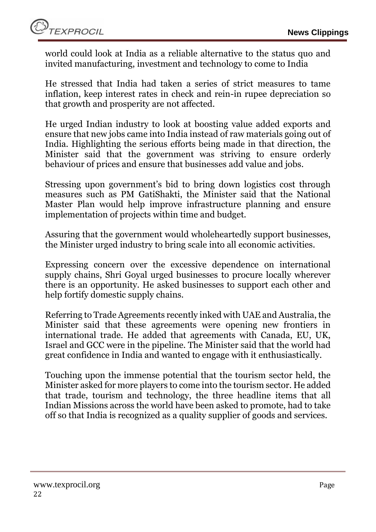world could look at India as a reliable alternative to the status quo and invited manufacturing, investment and technology to come to India

He stressed that India had taken a series of strict measures to tame inflation, keep interest rates in check and rein-in rupee depreciation so that growth and prosperity are not affected.

He urged Indian industry to look at boosting value added exports and ensure that new jobs came into India instead of raw materials going out of India. Highlighting the serious efforts being made in that direction, the Minister said that the government was striving to ensure orderly behaviour of prices and ensure that businesses add value and jobs.

Stressing upon government's bid to bring down logistics cost through measures such as PM GatiShakti, the Minister said that the National Master Plan would help improve infrastructure planning and ensure implementation of projects within time and budget.

Assuring that the government would wholeheartedly support businesses, the Minister urged industry to bring scale into all economic activities.

Expressing concern over the excessive dependence on international supply chains, Shri Goyal urged businesses to procure locally wherever there is an opportunity. He asked businesses to support each other and help fortify domestic supply chains.

Referring to Trade Agreements recently inked with UAE and Australia, the Minister said that these agreements were opening new frontiers in international trade. He added that agreements with Canada, EU, UK, Israel and GCC were in the pipeline. The Minister said that the world had great confidence in India and wanted to engage with it enthusiastically.

Touching upon the immense potential that the tourism sector held, the Minister asked for more players to come into the tourism sector. He added that trade, tourism and technology, the three headline items that all Indian Missions across the world have been asked to promote, had to take off so that India is recognized as a quality supplier of goods and services.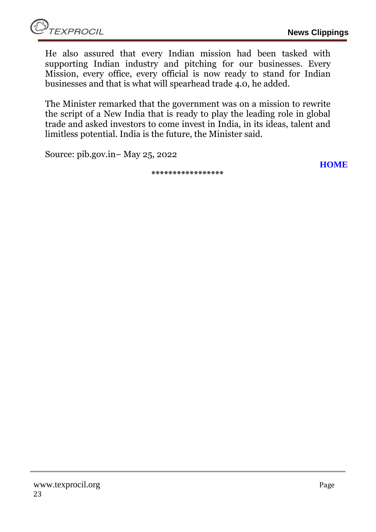**[HOME](#page-0-0)**

He also assured that every Indian mission had been tasked with supporting Indian industry and pitching for our businesses. Every Mission, every office, every official is now ready to stand for Indian businesses and that is what will spearhead trade 4.0, he added.

The Minister remarked that the government was on a mission to rewrite the script of a New India that is ready to play the leading role in global trade and asked investors to come invest in India, in its ideas, talent and limitless potential. India is the future, the Minister said.

Source: pib.gov.in– May 25, 2022

**\*\*\*\*\*\*\*\*\*\*\*\*\*\*\*\*\***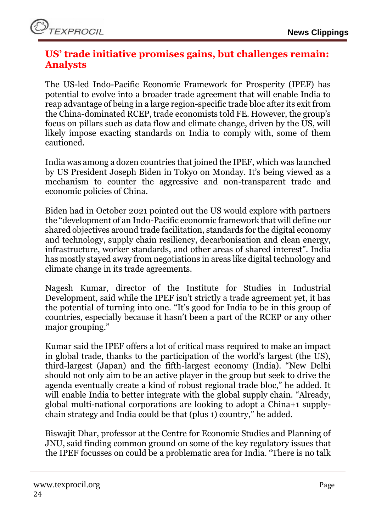## <span id="page-23-0"></span>**US' trade initiative promises gains, but challenges remain: Analysts**

The US-led Indo-Pacific Economic Framework for Prosperity (IPEF) has potential to evolve into a broader trade agreement that will enable India to reap advantage of being in a large region-specific trade bloc after its exit from the China-dominated RCEP, trade economists told FE. However, the group's focus on pillars such as data flow and climate change, driven by the US, will likely impose exacting standards on India to comply with, some of them cautioned.

India was among a dozen countries that joined the IPEF, which was launched by US President Joseph Biden in Tokyo on Monday. It's being viewed as a mechanism to counter the aggressive and non-transparent trade and economic policies of China.

Biden had in October 2021 pointed out the US would explore with partners the "development of an Indo-Pacific economic framework that will define our shared objectives around trade facilitation, standards for the digital economy and technology, supply chain resiliency, decarbonisation and clean energy, infrastructure, worker standards, and other areas of shared interest". India has mostly stayed away from negotiations in areas like digital technology and climate change in its trade agreements.

Nagesh Kumar, director of the Institute for Studies in Industrial Development, said while the IPEF isn't strictly a trade agreement yet, it has the potential of turning into one. "It's good for India to be in this group of countries, especially because it hasn't been a part of the RCEP or any other major grouping."

Kumar said the IPEF offers a lot of critical mass required to make an impact in global trade, thanks to the participation of the world's largest (the US), third-largest (Japan) and the fifth-largest economy (India). "New Delhi should not only aim to be an active player in the group but seek to drive the agenda eventually create a kind of robust regional trade bloc," he added. It will enable India to better integrate with the global supply chain. "Already, global multi-national corporations are looking to adopt a China+1 supplychain strategy and India could be that (plus 1) country," he added.

Biswajit Dhar, professor at the Centre for Economic Studies and Planning of JNU, said finding common ground on some of the key regulatory issues that the IPEF focusses on could be a problematic area for India. "There is no talk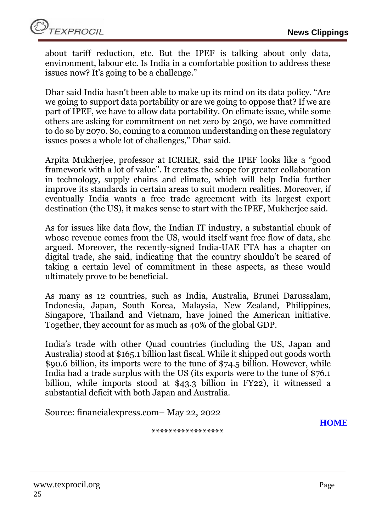about tariff reduction, etc. But the IPEF is talking about only data, environment, labour etc. Is India in a comfortable position to address these issues now? It's going to be a challenge."

Dhar said India hasn't been able to make up its mind on its data policy. "Are we going to support data portability or are we going to oppose that? If we are part of IPEF, we have to allow data portability. On climate issue, while some others are asking for commitment on net zero by 2050, we have committed to do so by 2070. So, coming to a common understanding on these regulatory issues poses a whole lot of challenges," Dhar said.

Arpita Mukherjee, professor at ICRIER, said the IPEF looks like a "good framework with a lot of value". It creates the scope for greater collaboration in technology, supply chains and climate, which will help India further improve its standards in certain areas to suit modern realities. Moreover, if eventually India wants a free trade agreement with its largest export destination (the US), it makes sense to start with the IPEF, Mukherjee said.

As for issues like data flow, the Indian IT industry, a substantial chunk of whose revenue comes from the US, would itself want free flow of data, she argued. Moreover, the recently-signed India-UAE FTA has a chapter on digital trade, she said, indicating that the country shouldn't be scared of taking a certain level of commitment in these aspects, as these would ultimately prove to be beneficial.

As many as 12 countries, such as India, Australia, Brunei Darussalam, Indonesia, Japan, South Korea, Malaysia, New Zealand, Philippines, Singapore, Thailand and Vietnam, have joined the American initiative. Together, they account for as much as 40% of the global GDP.

India's trade with other Quad countries (including the US, Japan and Australia) stood at \$165.1 billion last fiscal. While it shipped out goods worth \$90.6 billion, its imports were to the tune of \$74.5 billion. However, while India had a trade surplus with the US (its exports were to the tune of \$76.1 billion, while imports stood at \$43.3 billion in FY22), it witnessed a substantial deficit with both Japan and Australia.

**\*\*\*\*\*\*\*\*\*\*\*\*\*\*\*\*\***

Source: financialexpress.com– May 22, 2022

**[HOME](#page-0-0)**

www.texprocil.org Page 25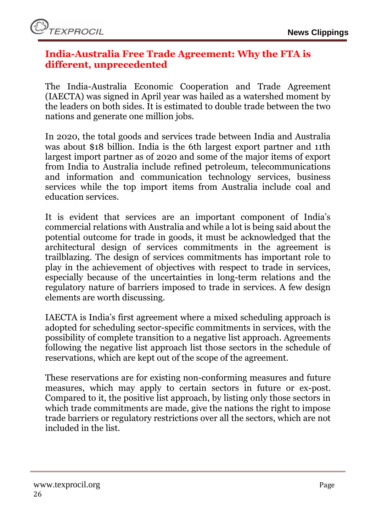#### <span id="page-25-0"></span>**India-Australia Free Trade Agreement: Why the FTA is different, unprecedented**

The India-Australia Economic Cooperation and Trade Agreement (IAECTA) was signed in April year was hailed as a watershed moment by the leaders on both sides. It is estimated to double trade between the two nations and generate one million jobs.

In 2020, the total goods and services trade between India and Australia was about \$18 billion. India is the 6th largest export partner and 11th largest import partner as of 2020 and some of the major items of export from India to Australia include refined petroleum, telecommunications and information and communication technology services, business services while the top import items from Australia include coal and education services.

It is evident that services are an important component of India's commercial relations with Australia and while a lot is being said about the potential outcome for trade in goods, it must be acknowledged that the architectural design of services commitments in the agreement is trailblazing. The design of services commitments has important role to play in the achievement of objectives with respect to trade in services, especially because of the uncertainties in long-term relations and the regulatory nature of barriers imposed to trade in services. A few design elements are worth discussing.

IAECTA is India's first agreement where a mixed scheduling approach is adopted for scheduling sector-specific commitments in services, with the possibility of complete transition to a negative list approach. Agreements following the negative list approach list those sectors in the schedule of reservations, which are kept out of the scope of the agreement.

These reservations are for existing non-conforming measures and future measures, which may apply to certain sectors in future or ex-post. Compared to it, the positive list approach, by listing only those sectors in which trade commitments are made, give the nations the right to impose trade barriers or regulatory restrictions over all the sectors, which are not included in the list.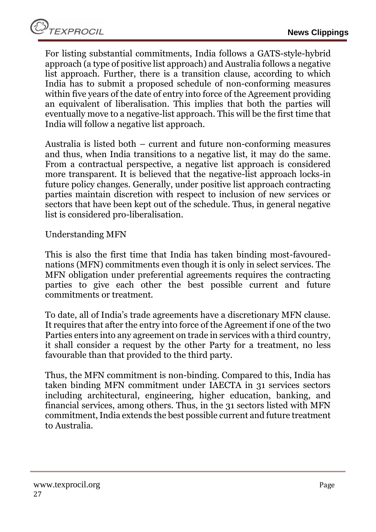For listing substantial commitments, India follows a GATS-style-hybrid approach (a type of positive list approach) and Australia follows a negative list approach. Further, there is a transition clause, according to which India has to submit a proposed schedule of non-conforming measures within five years of the date of entry into force of the Agreement providing an equivalent of liberalisation. This implies that both the parties will eventually move to a negative-list approach. This will be the first time that India will follow a negative list approach.

Australia is listed both – current and future non-conforming measures and thus, when India transitions to a negative list, it may do the same. From a contractual perspective, a negative list approach is considered more transparent. It is believed that the negative-list approach locks-in future policy changes. Generally, under positive list approach contracting parties maintain discretion with respect to inclusion of new services or sectors that have been kept out of the schedule. Thus, in general negative list is considered pro-liberalisation.

Understanding MFN

This is also the first time that India has taken binding most-favourednations (MFN) commitments even though it is only in select services. The MFN obligation under preferential agreements requires the contracting parties to give each other the best possible current and future commitments or treatment.

To date, all of India's trade agreements have a discretionary MFN clause. It requires that after the entry into force of the Agreement if one of the two Parties enters into any agreement on trade in services with a third country, it shall consider a request by the other Party for a treatment, no less favourable than that provided to the third party.

Thus, the MFN commitment is non-binding. Compared to this, India has taken binding MFN commitment under IAECTA in 31 services sectors including architectural, engineering, higher education, banking, and financial services, among others. Thus, in the 31 sectors listed with MFN commitment, India extends the best possible current and future treatment to Australia.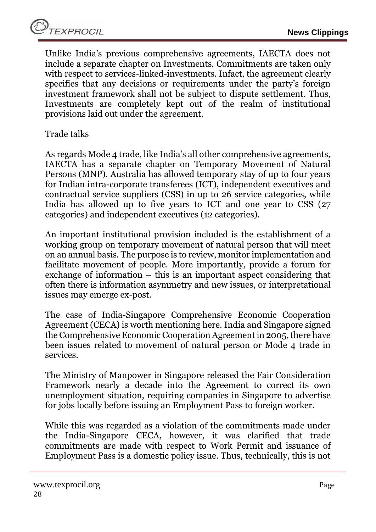Unlike India's previous comprehensive agreements, IAECTA does not include a separate chapter on Investments. Commitments are taken only with respect to services-linked-investments. Infact, the agreement clearly specifies that any decisions or requirements under the party's foreign investment framework shall not be subject to dispute settlement. Thus, Investments are completely kept out of the realm of institutional provisions laid out under the agreement.

Trade talks

As regards Mode 4 trade, like India's all other comprehensive agreements, IAECTA has a separate chapter on Temporary Movement of Natural Persons (MNP). Australia has allowed temporary stay of up to four years for Indian intra-corporate transferees (ICT), independent executives and contractual service suppliers (CSS) in up to 26 service categories, while India has allowed up to five years to ICT and one year to CSS (27 categories) and independent executives (12 categories).

An important institutional provision included is the establishment of a working group on temporary movement of natural person that will meet on an annual basis. The purpose is to review, monitor implementation and facilitate movement of people. More importantly, provide a forum for exchange of information – this is an important aspect considering that often there is information asymmetry and new issues, or interpretational issues may emerge ex-post.

The case of India-Singapore Comprehensive Economic Cooperation Agreement (CECA) is worth mentioning here. India and Singapore signed the Comprehensive Economic Cooperation Agreement in 2005, there have been issues related to movement of natural person or Mode 4 trade in services.

The Ministry of Manpower in Singapore released the Fair Consideration Framework nearly a decade into the Agreement to correct its own unemployment situation, requiring companies in Singapore to advertise for jobs locally before issuing an Employment Pass to foreign worker.

While this was regarded as a violation of the commitments made under the India-Singapore CECA, however, it was clarified that trade commitments are made with respect to Work Permit and issuance of Employment Pass is a domestic policy issue. Thus, technically, this is not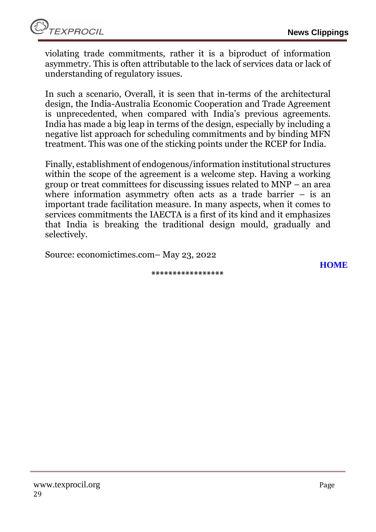violating trade commitments, rather it is a biproduct of information asymmetry. This is often attributable to the lack of services data or lack of understanding of regulatory issues.

In such a scenario, Overall, it is seen that in-terms of the architectural design, the India-Australia Economic Cooperation and Trade Agreement is unprecedented, when compared with India's previous agreements. India has made a big leap in terms of the design, especially by including a negative list approach for scheduling commitments and by binding MFN treatment. This was one of the sticking points under the RCEP for India.

Finally, establishment of endogenous/information institutional structures within the scope of the agreement is a welcome step. Having a working group or treat committees for discussing issues related to MNP – an area where information asymmetry often acts as a trade barrier – is an important trade facilitation measure. In many aspects, when it comes to services commitments the IAECTA is a first of its kind and it emphasizes that India is breaking the traditional design mould, gradually and selectively.

Source: economictimes.com– May 23, 2022

**\*\*\*\*\*\*\*\*\*\*\*\*\*\*\*\*\***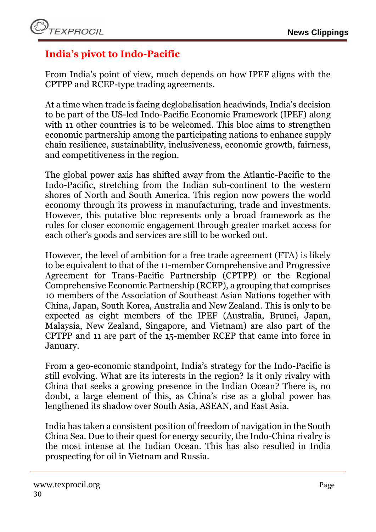# <span id="page-29-0"></span>**India's pivot to Indo-Pacific**

From India's point of view, much depends on how IPEF aligns with the CPTPP and RCEP-type trading agreements.

At a time when trade is facing deglobalisation headwinds, India's decision to be part of the US-led Indo-Pacific Economic Framework (IPEF) along with 11 other countries is to be welcomed. This bloc aims to strengthen economic partnership among the participating nations to enhance supply chain resilience, sustainability, inclusiveness, economic growth, fairness, and competitiveness in the region.

The global power axis has shifted away from the Atlantic-Pacific to the Indo-Pacific, stretching from the Indian sub-continent to the western shores of North and South America. This region now powers the world economy through its prowess in manufacturing, trade and investments. However, this putative bloc represents only a broad framework as the rules for closer economic engagement through greater market access for each other's goods and services are still to be worked out.

However, the level of ambition for a free trade agreement (FTA) is likely to be equivalent to that of the 11-member Comprehensive and Progressive Agreement for Trans-Pacific Partnership (CPTPP) or the Regional Comprehensive Economic Partnership (RCEP), a grouping that comprises 10 members of the Association of Southeast Asian Nations together with China, Japan, South Korea, Australia and New Zealand. This is only to be expected as eight members of the IPEF (Australia, Brunei, Japan, Malaysia, New Zealand, Singapore, and Vietnam) are also part of the CPTPP and 11 are part of the 15-member RCEP that came into force in January.

From a geo-economic standpoint, India's strategy for the Indo-Pacific is still evolving. What are its interests in the region? Is it only rivalry with China that seeks a growing presence in the Indian Ocean? There is, no doubt, a large element of this, as China's rise as a global power has lengthened its shadow over South Asia, ASEAN, and East Asia.

India has taken a consistent position of freedom of navigation in the South China Sea. Due to their quest for energy security, the Indo-China rivalry is the most intense at the Indian Ocean. This has also resulted in India prospecting for oil in Vietnam and Russia.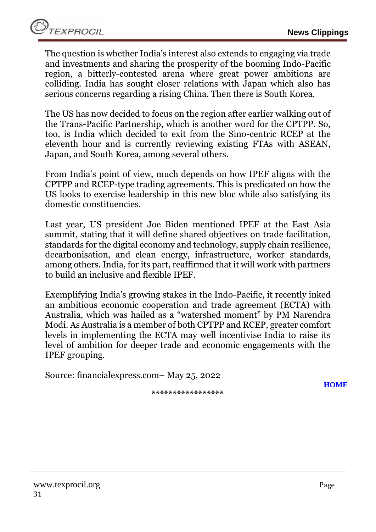The question is whether India's interest also extends to engaging via trade and investments and sharing the prosperity of the booming Indo-Pacific region, a bitterly-contested arena where great power ambitions are colliding. India has sought closer relations with Japan which also has serious concerns regarding a rising China. Then there is South Korea.

The US has now decided to focus on the region after earlier walking out of the Trans-Pacific Partnership, which is another word for the CPTPP. So, too, is India which decided to exit from the Sino-centric RCEP at the eleventh hour and is currently reviewing existing FTAs with ASEAN, Japan, and South Korea, among several others.

From India's point of view, much depends on how IPEF aligns with the CPTPP and RCEP-type trading agreements. This is predicated on how the US looks to exercise leadership in this new bloc while also satisfying its domestic constituencies.

Last year, US president Joe Biden mentioned IPEF at the East Asia summit, stating that it will define shared objectives on trade facilitation, standards for the digital economy and technology, supply chain resilience, decarbonisation, and clean energy, infrastructure, worker standards, among others. India, for its part, reaffirmed that it will work with partners to build an inclusive and flexible IPEF.

Exemplifying India's growing stakes in the Indo-Pacific, it recently inked an ambitious economic cooperation and trade agreement (ECTA) with Australia, which was hailed as a "watershed moment" by PM Narendra Modi. As Australia is a member of both CPTPP and RCEP, greater comfort levels in implementing the ECTA may well incentivise India to raise its level of ambition for deeper trade and economic engagements with the IPEF grouping.

Source: financialexpress.com– May 25, 2022

**[HOME](#page-0-0)**

**\*\*\*\*\*\*\*\*\*\*\*\*\*\*\*\*\***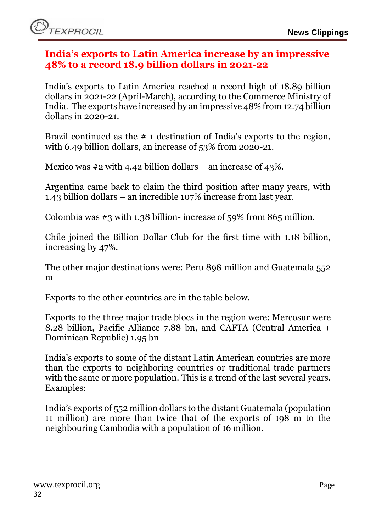#### <span id="page-31-0"></span>**India's exports to Latin America increase by an impressive 48% to a record 18.9 billion dollars in 2021-22**

India's exports to Latin America reached a record high of 18.89 billion dollars in 2021-22 (April-March), according to the Commerce Ministry of India. The exports have increased by an impressive 48% from 12.74 billion dollars in 2020-21.

Brazil continued as the # 1 destination of India's exports to the region, with 6.49 billion dollars, an increase of 53% from 2020-21.

Mexico was  $\#2$  with 4.42 billion dollars – an increase of 43%.

Argentina came back to claim the third position after many years, with 1.43 billion dollars – an incredible 107% increase from last year.

Colombia was #3 with 1.38 billion- increase of 59% from 865 million.

Chile joined the Billion Dollar Club for the first time with 1.18 billion, increasing by 47%.

The other major destinations were: Peru 898 million and Guatemala 552 m

Exports to the other countries are in the table below.

Exports to the three major trade blocs in the region were: Mercosur were 8.28 billion, Pacific Alliance 7.88 bn, and CAFTA (Central America + Dominican Republic) 1.95 bn

India's exports to some of the distant Latin American countries are more than the exports to neighboring countries or traditional trade partners with the same or more population. This is a trend of the last several years. Examples:

India's exports of 552 million dollars to the distant Guatemala (population 11 million) are more than twice that of the exports of 198 m to the neighbouring Cambodia with a population of 16 million.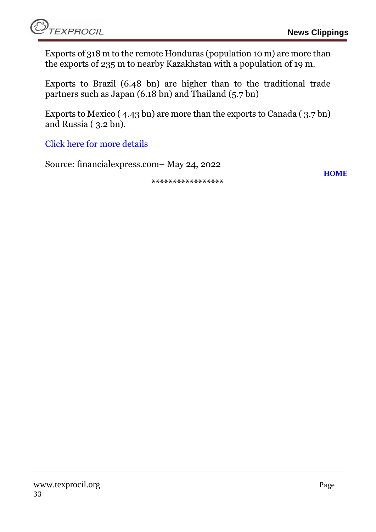Exports of 318 m to the remote Honduras (population 10 m) are more than the exports of 235 m to nearby Kazakhstan with a population of 19 m.

Exports to Brazil (6.48 bn) are higher than to the traditional trade partners such as Japan (6.18 bn) and Thailand (5.7 bn)

Exports to Mexico ( 4.43 bn) are more than the exports to Canada ( 3.7 bn) and Russia ( 3.2 bn).

[Click here for more details](https://www.financialexpress.com/defence/indias-exports-to-latin-america-increase-by-an-impressive-48-to-a-record-18-9-billion-dollars-in-2021-22/2535466/)

Source: financialexpress.com– May 24, 2022

**\*\*\*\*\*\*\*\*\*\*\*\*\*\*\*\*\***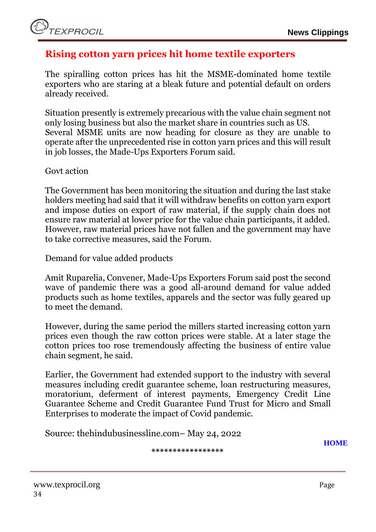#### <span id="page-33-0"></span>**Rising cotton yarn prices hit home textile exporters**

The spiralling cotton prices has hit the MSME-dominated home textile exporters who are staring at a bleak future and potential default on orders already received.

Situation presently is extremely precarious with the value chain segment not only losing business but also the market share in countries such as US. Several MSME units are now heading for closure as they are unable to operate after the unprecedented rise in cotton yarn prices and this will result in job losses, the Made-Ups Exporters Forum said.

Govt action

The Government has been monitoring the situation and during the last stake holders meeting had said that it will withdraw benefits on cotton yarn export and impose duties on export of raw material, if the supply chain does not ensure raw material at lower price for the value chain participants, it added. However, raw material prices have not fallen and the government may have to take corrective measures, said the Forum.

Demand for value added products

Amit Ruparelia, Convener, Made-Ups Exporters Forum said post the second wave of pandemic there was a good all-around demand for value added products such as home textiles, apparels and the sector was fully geared up to meet the demand.

However, during the same period the millers started increasing cotton yarn prices even though the raw cotton prices were stable. At a later stage the cotton prices too rose tremendously affecting the business of entire value chain segment, he said.

Earlier, the Government had extended support to the industry with several measures including credit guarantee scheme, loan restructuring measures, moratorium, deferment of interest payments, Emergency Credit Line Guarantee Scheme and Credit Guarantee Fund Trust for Micro and Small Enterprises to moderate the impact of Covid pandemic.

Source: thehindubusinessline.com– May 24, 2022

**\*\*\*\*\*\*\*\*\*\*\*\*\*\*\*\*\***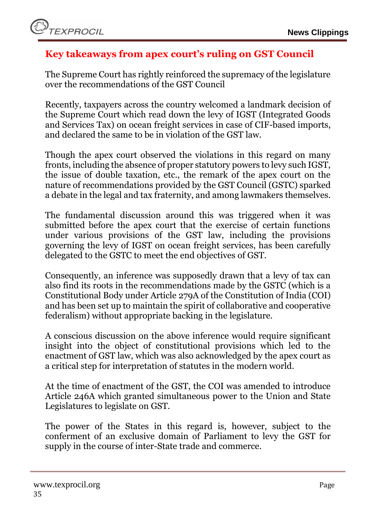## <span id="page-34-0"></span>**Key takeaways from apex court's ruling on GST Council**

The Supreme Court has rightly reinforced the supremacy of the legislature over the recommendations of the GST Council

Recently, taxpayers across the country welcomed a landmark decision of the Supreme Court which read down the levy of IGST (Integrated Goods and Services Tax) on ocean freight services in case of CIF-based imports, and declared the same to be in violation of the GST law.

Though the apex court observed the violations in this regard on many fronts, including the absence of proper statutory powers to levy such IGST, the issue of double taxation, etc., the remark of the apex court on the nature of recommendations provided by the GST Council (GSTC) sparked a debate in the legal and tax fraternity, and among lawmakers themselves.

The fundamental discussion around this was triggered when it was submitted before the apex court that the exercise of certain functions under various provisions of the GST law, including the provisions governing the levy of IGST on ocean freight services, has been carefully delegated to the GSTC to meet the end objectives of GST.

Consequently, an inference was supposedly drawn that a levy of tax can also find its roots in the recommendations made by the GSTC (which is a Constitutional Body under Article 279A of the Constitution of India (COI) and has been set up to maintain the spirit of collaborative and cooperative federalism) without appropriate backing in the legislature.

A conscious discussion on the above inference would require significant insight into the object of constitutional provisions which led to the enactment of GST law, which was also acknowledged by the apex court as a critical step for interpretation of statutes in the modern world.

At the time of enactment of the GST, the COI was amended to introduce Article 246A which granted simultaneous power to the Union and State Legislatures to legislate on GST.

The power of the States in this regard is, however, subject to the conferment of an exclusive domain of Parliament to levy the GST for supply in the course of inter-State trade and commerce.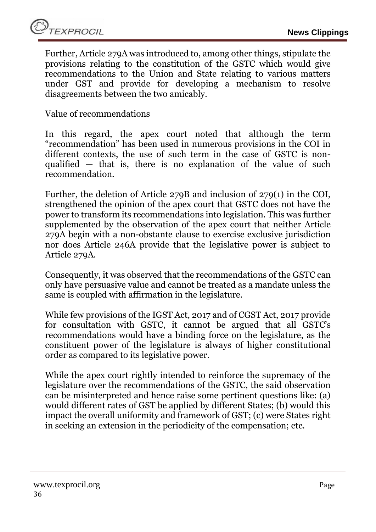Further, Article 279A was introduced to, among other things, stipulate the provisions relating to the constitution of the GSTC which would give recommendations to the Union and State relating to various matters under GST and provide for developing a mechanism to resolve disagreements between the two amicably.

Value of recommendations

In this regard, the apex court noted that although the term "recommendation" has been used in numerous provisions in the COI in different contexts, the use of such term in the case of GSTC is nonqualified — that is, there is no explanation of the value of such recommendation.

Further, the deletion of Article 279B and inclusion of 279(1) in the COI, strengthened the opinion of the apex court that GSTC does not have the power to transform its recommendations into legislation. This was further supplemented by the observation of the apex court that neither Article 279A begin with a non-obstante clause to exercise exclusive jurisdiction nor does Article 246A provide that the legislative power is subject to Article 279A.

Consequently, it was observed that the recommendations of the GSTC can only have persuasive value and cannot be treated as a mandate unless the same is coupled with affirmation in the legislature.

While few provisions of the IGST Act, 2017 and of CGST Act, 2017 provide for consultation with GSTC, it cannot be argued that all GSTC's recommendations would have a binding force on the legislature, as the constituent power of the legislature is always of higher constitutional order as compared to its legislative power.

While the apex court rightly intended to reinforce the supremacy of the legislature over the recommendations of the GSTC, the said observation can be misinterpreted and hence raise some pertinent questions like: (a) would different rates of GST be applied by different States; (b) would this impact the overall uniformity and framework of GST; (c) were States right in seeking an extension in the periodicity of the compensation; etc.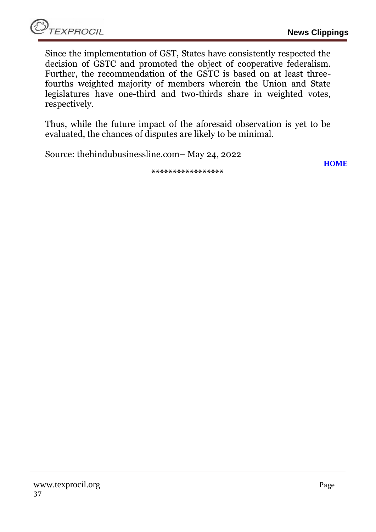Since the implementation of GST, States have consistently respected the decision of GSTC and promoted the object of cooperative federalism. Further, the recommendation of the GSTC is based on at least threefourths weighted majority of members wherein the Union and State legislatures have one-third and two-thirds share in weighted votes, respectively.

Thus, while the future impact of the aforesaid observation is yet to be evaluated, the chances of disputes are likely to be minimal.

Source: thehindubusinessline.com– May 24, 2022

**[HOME](#page-0-0)**

**\*\*\*\*\*\*\*\*\*\*\*\*\*\*\*\*\***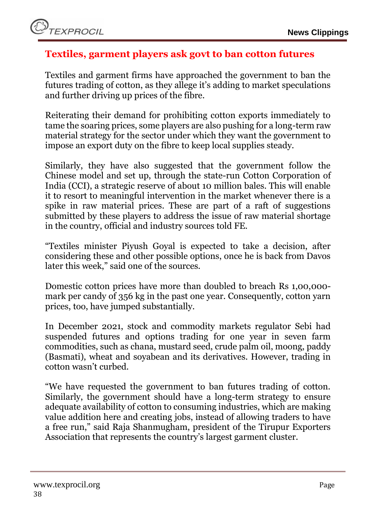## <span id="page-37-0"></span>**Textiles, garment players ask govt to ban cotton futures**

Textiles and garment firms have approached the government to ban the futures trading of cotton, as they allege it's adding to market speculations and further driving up prices of the fibre.

Reiterating their demand for prohibiting cotton exports immediately to tame the soaring prices, some players are also pushing for a long-term raw material strategy for the sector under which they want the government to impose an export duty on the fibre to keep local supplies steady.

Similarly, they have also suggested that the government follow the Chinese model and set up, through the state-run Cotton Corporation of India (CCI), a strategic reserve of about 10 million bales. This will enable it to resort to meaningful intervention in the market whenever there is a spike in raw material prices. These are part of a raft of suggestions submitted by these players to address the issue of raw material shortage in the country, official and industry sources told FE.

"Textiles minister Piyush Goyal is expected to take a decision, after considering these and other possible options, once he is back from Davos later this week," said one of the sources.

Domestic cotton prices have more than doubled to breach Rs 1,00,000 mark per candy of 356 kg in the past one year. Consequently, cotton yarn prices, too, have jumped substantially.

In December 2021, stock and commodity markets regulator Sebi had suspended futures and options trading for one year in seven farm commodities, such as chana, mustard seed, crude palm oil, moong, paddy (Basmati), wheat and soyabean and its derivatives. However, trading in cotton wasn't curbed.

"We have requested the government to ban futures trading of cotton. Similarly, the government should have a long-term strategy to ensure adequate availability of cotton to consuming industries, which are making value addition here and creating jobs, instead of allowing traders to have a free run," said Raja Shanmugham, president of the Tirupur Exporters Association that represents the country's largest garment cluster.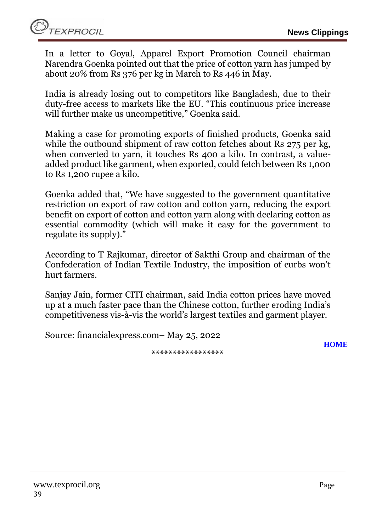In a letter to Goyal, Apparel Export Promotion Council chairman Narendra Goenka pointed out that the price of cotton yarn has jumped by about 20% from Rs 376 per kg in March to Rs 446 in May.

India is already losing out to competitors like Bangladesh, due to their duty-free access to markets like the EU. "This continuous price increase will further make us uncompetitive," Goenka said.

Making a case for promoting exports of finished products, Goenka said while the outbound shipment of raw cotton fetches about Rs 275 per kg, when converted to yarn, it touches Rs 400 a kilo. In contrast, a valueadded product like garment, when exported, could fetch between Rs 1,000 to Rs 1,200 rupee a kilo.

Goenka added that, "We have suggested to the government quantitative restriction on export of raw cotton and cotton yarn, reducing the export benefit on export of cotton and cotton yarn along with declaring cotton as essential commodity (which will make it easy for the government to regulate its supply)."

According to T Rajkumar, director of Sakthi Group and chairman of the Confederation of Indian Textile Industry, the imposition of curbs won't hurt farmers.

Sanjay Jain, former CITI chairman, said India cotton prices have moved up at a much faster pace than the Chinese cotton, further eroding India's competitiveness vis-à-vis the world's largest textiles and garment player.

Source: financialexpress.com– May 25, 2022

**\*\*\*\*\*\*\*\*\*\*\*\*\*\*\*\*\***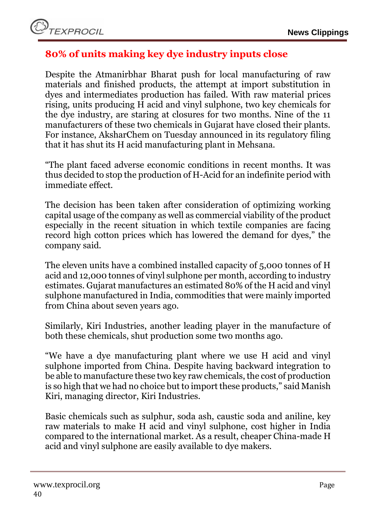## <span id="page-39-0"></span>**80% of units making key dye industry inputs close**

Despite the Atmanirbhar Bharat push for local manufacturing of raw materials and finished products, the attempt at import substitution in dyes and intermediates production has failed. With raw material prices rising, units producing H acid and vinyl sulphone, two key chemicals for the dye industry, are staring at closures for two months. Nine of the 11 manufacturers of these two chemicals in Gujarat have closed their plants. For instance, AksharChem on Tuesday announced in its regulatory filing that it has shut its H acid manufacturing plant in Mehsana.

"The plant faced adverse economic conditions in recent months. It was thus decided to stop the production of H-Acid for an indefinite period with immediate effect.

The decision has been taken after consideration of optimizing working capital usage of the company as well as commercial viability of the product especially in the recent situation in which textile companies are facing record high cotton prices which has lowered the demand for dyes," the company said.

The eleven units have a combined installed capacity of 5,000 tonnes of H acid and 12,000 tonnes of vinyl sulphone per month, according to industry estimates. Gujarat manufactures an estimated 80% of the H acid and vinyl sulphone manufactured in India, commodities that were mainly imported from China about seven years ago.

Similarly, Kiri Industries, another leading player in the manufacture of both these chemicals, shut production some two months ago.

"We have a dye manufacturing plant where we use H acid and vinyl sulphone imported from China. Despite having backward integration to be able to manufacture these two key raw chemicals, the cost of production is so high that we had no choice but to import these products," said Manish Kiri, managing director, Kiri Industries.

Basic chemicals such as sulphur, soda ash, caustic soda and aniline, key raw materials to make H acid and vinyl sulphone, cost higher in India compared to the international market. As a result, cheaper China-made H acid and vinyl sulphone are easily available to dye makers.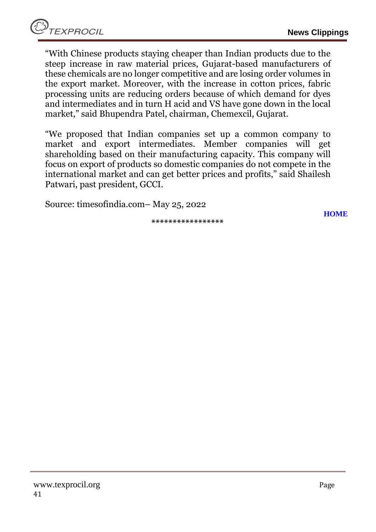"With Chinese products staying cheaper than Indian products due to the steep increase in raw material prices, Gujarat-based manufacturers of these chemicals are no longer competitive and are losing order volumes in the export market. Moreover, with the increase in cotton prices, fabric processing units are reducing orders because of which demand for dyes and intermediates and in turn H acid and VS have gone down in the local market," said Bhupendra Patel, chairman, Chemexcil, Gujarat.

"We proposed that Indian companies set up a common company to market and export intermediates. Member companies will get shareholding based on their manufacturing capacity. This company will focus on export of products so domestic companies do not compete in the international market and can get better prices and profits," said Shailesh Patwari, past president, GCCI.

Source: timesofindia.com– May 25, 2022

**\*\*\*\*\*\*\*\*\*\*\*\*\*\*\*\*\***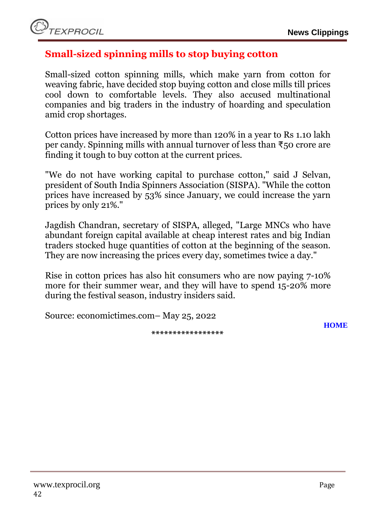### <span id="page-41-0"></span>**Small-sized spinning mills to stop buying cotton**

Small-sized cotton spinning mills, which make yarn from cotton for weaving fabric, have decided stop buying cotton and close mills till prices cool down to comfortable levels. They also accused multinational companies and big traders in the industry of hoarding and speculation amid crop shortages.

Cotton prices have increased by more than 120% in a year to Rs 1.10 lakh per candy. Spinning mills with annual turnover of less than ₹50 crore are finding it tough to buy cotton at the current prices.

"We do not have working capital to purchase cotton," said J Selvan, president of South India Spinners Association (SISPA). "While the cotton prices have increased by 53% since January, we could increase the yarn prices by only 21%."

Jagdish Chandran, secretary of SISPA, alleged, "Large MNCs who have abundant foreign capital available at cheap interest rates and big Indian traders stocked huge quantities of cotton at the beginning of the season. They are now increasing the prices every day, sometimes twice a day."

Rise in cotton prices has also hit consumers who are now paying 7-10% more for their summer wear, and they will have to spend 15-20% more during the festival season, industry insiders said.

Source: economictimes.com– May 25, 2022

**\*\*\*\*\*\*\*\*\*\*\*\*\*\*\*\*\***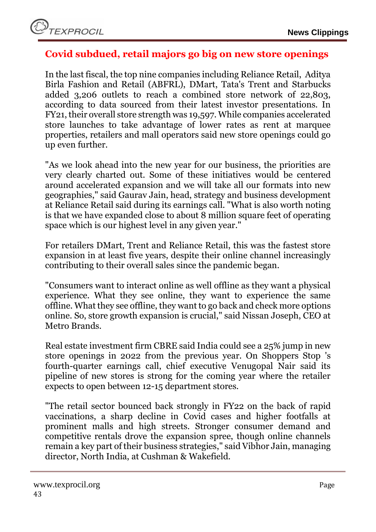

#### <span id="page-42-0"></span>**Covid subdued, retail majors go big on new store openings**

In the last fiscal, the top nine companies including Reliance Retail, Aditya Birla Fashion and Retail (ABFRL), DMart, Tata's Trent and Starbucks added 3,206 outlets to reach a combined store network of 22,803, according to data sourced from their latest investor presentations. In FY21, their overall store strength was 19,597. While companies accelerated store launches to take advantage of lower rates as rent at marquee properties, retailers and mall operators said new store openings could go up even further.

"As we look ahead into the new year for our business, the priorities are very clearly charted out. Some of these initiatives would be centered around accelerated expansion and we will take all our formats into new geographies," said Gaurav Jain, head, strategy and business development at Reliance Retail said during its earnings call. "What is also worth noting is that we have expanded close to about 8 million square feet of operating space which is our highest level in any given year."

For retailers DMart, Trent and Reliance Retail, this was the fastest store expansion in at least five years, despite their online channel increasingly contributing to their overall sales since the pandemic began.

"Consumers want to interact online as well offline as they want a physical experience. What they see online, they want to experience the same offline. What they see offline, they want to go back and check more options online. So, store growth expansion is crucial," said Nissan Joseph, CEO at Metro Brands.

Real estate investment firm CBRE said India could see a 25% jump in new store openings in 2022 from the previous year. On Shoppers Stop 's fourth-quarter earnings call, chief executive Venugopal Nair said its pipeline of new stores is strong for the coming year where the retailer expects to open between 12-15 department stores.

"The retail sector bounced back strongly in FY22 on the back of rapid vaccinations, a sharp decline in Covid cases and higher footfalls at prominent malls and high streets. Stronger consumer demand and competitive rentals drove the expansion spree, though online channels remain a key part of their business strategies," said Vibhor Jain, managing director, North India, at Cushman & Wakefield.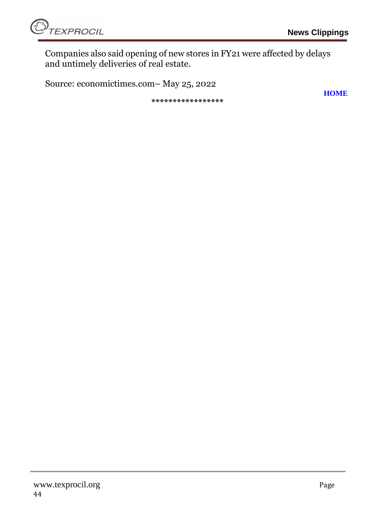**[HOME](#page-0-0)**



Companies also said opening of new stores in FY21 were affected by delays and untimely deliveries of real estate.

Source: economictimes.com– May 25, 2022

**\*\*\*\*\*\*\*\*\*\*\*\*\*\*\*\*\***